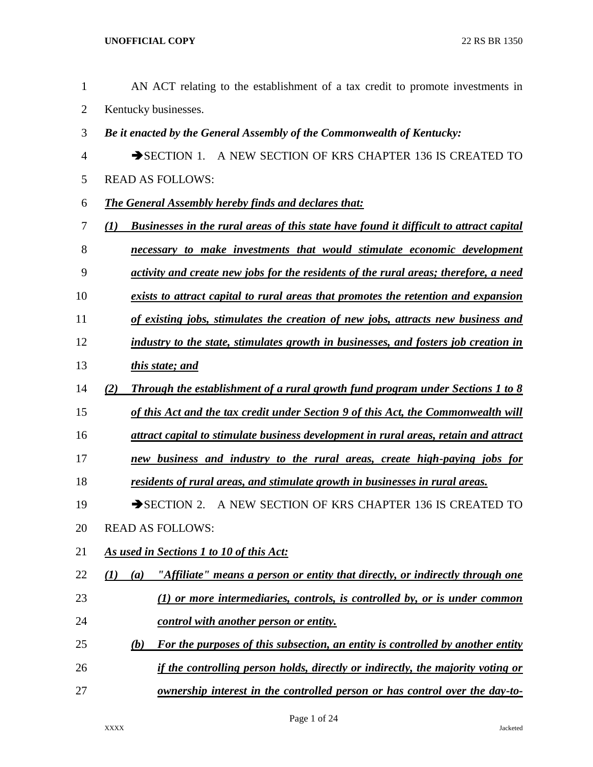AN ACT relating to the establishment of a tax credit to promote investments in Kentucky businesses. *Be it enacted by the General Assembly of the Commonwealth of Kentucky:* 4 SECTION 1. A NEW SECTION OF KRS CHAPTER 136 IS CREATED TO READ AS FOLLOWS: *The General Assembly hereby finds and declares that: (1) Businesses in the rural areas of this state have found it difficult to attract capital necessary to make investments that would stimulate economic development activity and create new jobs for the residents of the rural areas; therefore, a need exists to attract capital to rural areas that promotes the retention and expansion of existing jobs, stimulates the creation of new jobs, attracts new business and industry to the state, stimulates growth in businesses, and fosters job creation in this state; and (2) Through the establishment of a rural growth fund program under Sections 1 to 8 of this Act and the tax credit under Section 9 of this Act, the Commonwealth will attract capital to stimulate business development in rural areas, retain and attract new business and industry to the rural areas, create high-paying jobs for residents of rural areas, and stimulate growth in businesses in rural areas.* 19 SECTION 2. A NEW SECTION OF KRS CHAPTER 136 IS CREATED TO READ AS FOLLOWS: *As used in Sections 1 to 10 of this Act: (1) (a) "Affiliate" means a person or entity that directly, or indirectly through one (1) or more intermediaries, controls, is controlled by, or is under common control with another person or entity. (b) For the purposes of this subsection, an entity is controlled by another entity if the controlling person holds, directly or indirectly, the majority voting or ownership interest in the controlled person or has control over the day-to-*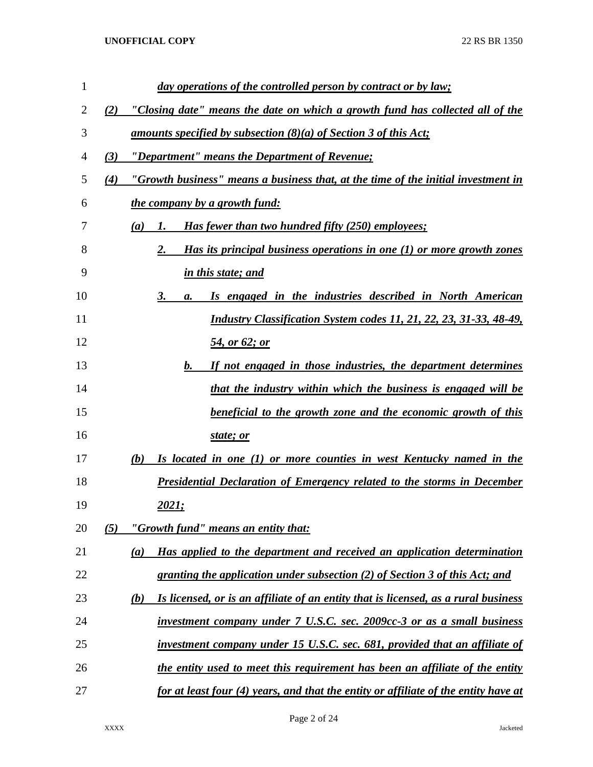| $\mathbf{1}$ | day operations of the controlled person by contract or by law;                                   |
|--------------|--------------------------------------------------------------------------------------------------|
| 2            | "Closing date" means the date on which a growth fund has collected all of the<br>(2)             |
| 3            | <u>amounts specified by subsection (8)(a) of Section 3 of this Act;</u>                          |
| 4            | "Department" means the Department of Revenue;<br>(3)                                             |
| 5            | "Growth business" means a business that, at the time of the initial investment in<br>(4)         |
| 6            | <u>the company by a growth fund:</u>                                                             |
| 7            | <b>Has fewer than two hundred fifty (250) employees;</b><br>(a)<br>1.                            |
| 8            | 2.<br>Has its principal business operations in one (1) or more growth zones                      |
| 9            | in this state; and                                                                               |
| 10           | 3.<br>Is engaged in the industries described in North American<br>a.                             |
| 11           | Industry Classification System codes 11, 21, 22, 23, 31-33, 48-49,                               |
| 12           | 54, or 62; or                                                                                    |
| 13           | If not engaged in those industries, the department determines<br>b.                              |
| 14           | that the industry within which the business is engaged will be                                   |
| 15           | <u>beneficial to the growth zone and the economic growth of this</u>                             |
| 16           | state; or                                                                                        |
| 17           | (b)<br>Is located in one (1) or more counties in west Kentucky named in the                      |
| 18           | Presidential Declaration of Emergency related to the storms in December                          |
| 19           | 2021;                                                                                            |
| 20           | "Growth fund" means an entity that:<br>(5)                                                       |
| 21           | Has applied to the department and received an application determination<br>(a)                   |
| 22           | granting the application under subsection (2) of Section 3 of this Act; and                      |
| 23           | Is licensed, or is an affiliate of an entity that is licensed, as a rural business<br><u>(b)</u> |
| 24           | investment company under 7 U.S.C. sec. 2009cc-3 or as a small business                           |
| 25           | investment company under 15 U.S.C. sec. 681, provided that an affiliate of                       |
| 26           | the entity used to meet this requirement has been an affiliate of the entity                     |
| 27           | for at least four (4) years, and that the entity or affiliate of the entity have at              |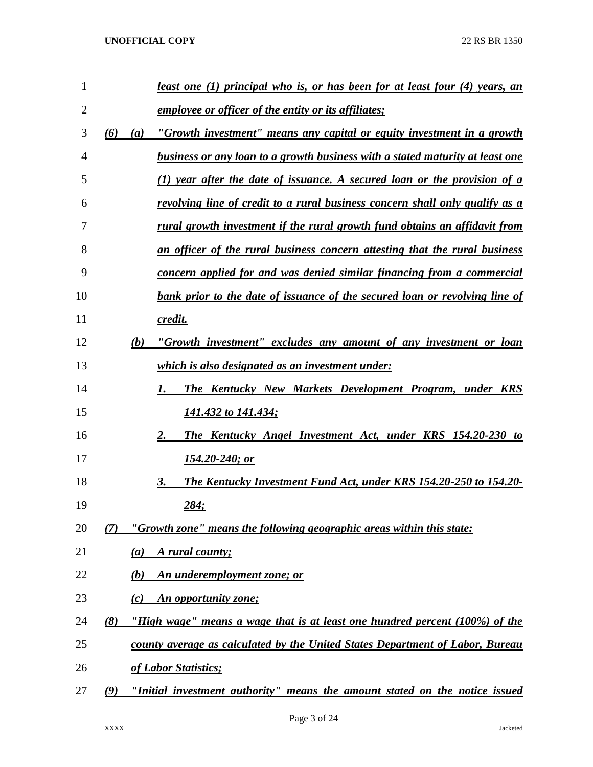|            | least one (1) principal who is, or has been for at least four (4) years, an       |
|------------|-----------------------------------------------------------------------------------|
|            | <i>employee or officer of the entity or its affiliates;</i>                       |
| (6)<br>(a) | "Growth investment" means any capital or equity investment in a growth            |
|            | business or any loan to a growth business with a stated maturity at least one     |
|            | (1) year after the date of issuance. A secured loan or the provision of a         |
|            | revolving line of credit to a rural business concern shall only qualify as a      |
|            | <u>rural growth investment if the rural growth fund obtains an affidavit from</u> |
|            | an officer of the rural business concern attesting that the rural business        |
|            | <u>concern applied for and was denied similar financing from a commercial</u>     |
|            | bank prior to the date of issuance of the secured loan or revolving line of       |
|            | credit.                                                                           |
| (b)        | "Growth investment" excludes any amount of any investment or loan                 |
|            | <u>which is also designated as an investment under:</u>                           |
|            | <b>The Kentucky New Markets Development Program, under KRS</b><br>1.              |
|            | 141.432 to 141.434;                                                               |
|            | 2.<br>The Kentucky Angel Investment Act, under KRS 154.20-230 to                  |
|            | <u>154.20-240; or</u>                                                             |
|            | 3.<br><b>The Kentucky Investment Fund Act, under KRS 154.20-250 to 154.20-</b>    |
|            | 284;                                                                              |
| (7)        | "Growth zone" means the following geographic areas within this state:             |
| (a)        | A rural county;                                                                   |
| (b)        | An underemployment zone; or                                                       |
| (c)        | An opportunity zone;                                                              |
| (8)        | "High wage" means a wage that is at least one hundred percent (100%) of the       |
|            | county average as calculated by the United States Department of Labor, Bureau     |
|            | of Labor Statistics;                                                              |
| (9)        | "Initial investment authority" means the amount stated on the notice issued       |
|            |                                                                                   |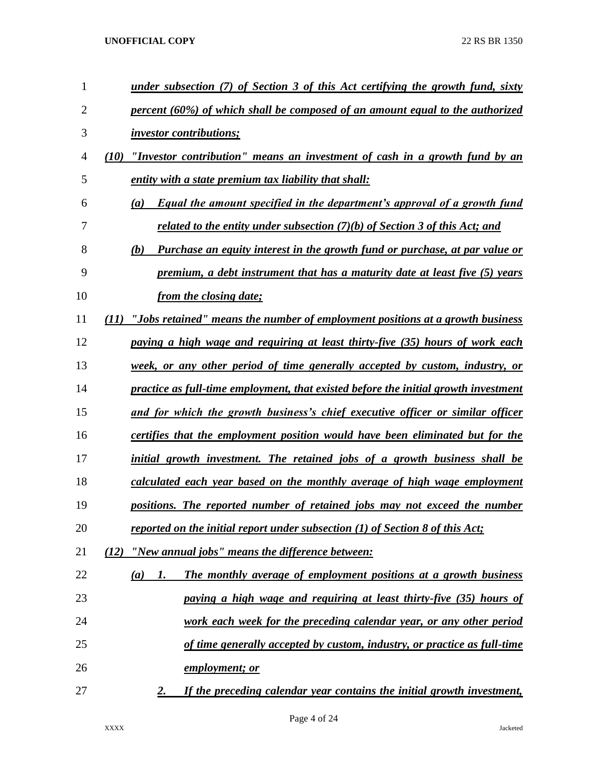| 1              | under subsection (7) of Section 3 of this Act certifying the growth fund, sixty        |
|----------------|----------------------------------------------------------------------------------------|
| $\overline{2}$ | percent (60%) of which shall be composed of an amount equal to the authorized          |
| 3              | <i>investor contributions;</i>                                                         |
| 4              | "Investor contribution" means an investment of cash in a growth fund by an<br>(10)     |
| 5              | entity with a state premium tax liability that shall:                                  |
| 6              | <b>Equal the amount specified in the department's approval of a growth fund</b><br>(a) |
| 7              | related to the entity under subsection $(7)(b)$ of Section 3 of this Act; and          |
| 8              | Purchase an equity interest in the growth fund or purchase, at par value or<br>(b)     |
| 9              | premium, a debt instrument that has a maturity date at least five (5) years            |
| 10             | from the closing date;                                                                 |
| 11             | "Jobs retained" means the number of employment positions at a growth business<br>(11)  |
| 12             | paying a high wage and requiring at least thirty-five (35) hours of work each          |
| 13             | week, or any other period of time generally accepted by custom, industry, or           |
| 14             | practice as full-time employment, that existed before the initial growth investment    |
| 15             | and for which the growth business's chief executive officer or similar officer         |
| 16             | certifies that the employment position would have been eliminated but for the          |
| 17             | initial growth investment. The retained jobs of a growth business shall be             |
| 18             | calculated each year based on the monthly average of high wage employment              |
| 19             | positions. The reported number of retained jobs may not exceed the number              |
| 20             | reported on the initial report under subsection $(1)$ of Section 8 of this Act;        |
| 21             | "New annual jobs" means the difference between:<br>(12)                                |
| 22             | The monthly average of employment positions at a growth business<br>1.<br>(a)          |
| 23             | paying a high wage and requiring at least thirty-five (35) hours of                    |
| 24             | work each week for the preceding calendar year, or any other period                    |
| 25             | of time generally accepted by custom, industry, or practice as full-time               |
| 26             | <u>employment; or</u>                                                                  |
| 27             | If the preceding calendar year contains the initial growth investment,<br>2.           |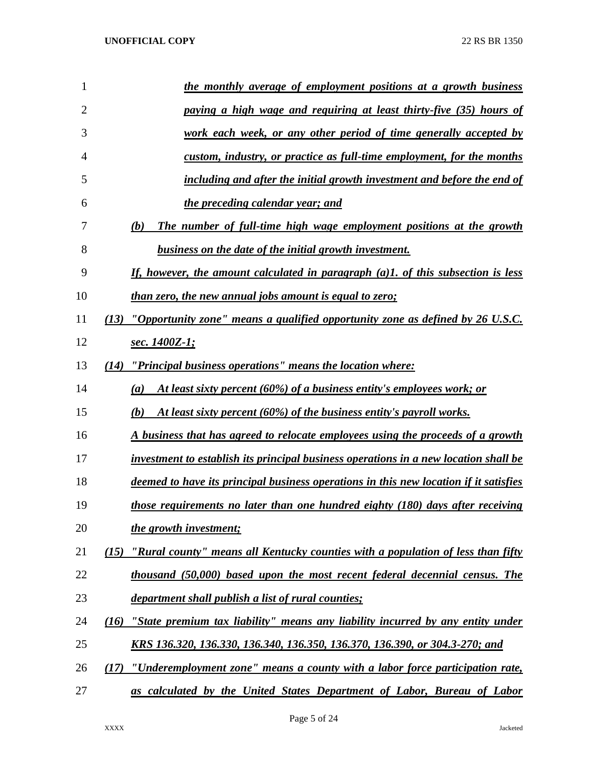| 1  | the monthly average of employment positions at a growth business                           |
|----|--------------------------------------------------------------------------------------------|
| 2  | paying a high wage and requiring at least thirty-five (35) hours of                        |
| 3  | <u>work each week, or any other period of time generally accepted by</u>                   |
| 4  | custom, industry, or practice as full-time employment, for the months                      |
| 5  | including and after the initial growth investment and before the end of                    |
| 6  | the preceding calendar year; and                                                           |
| 7  | The number of full-time high wage employment positions at the growth<br>(b)                |
| 8  | business on the date of the initial growth investment.                                     |
| 9  | If, however, the amount calculated in paragraph (a)1. of this subsection is less           |
| 10 | than zero, the new annual jobs amount is equal to zero;                                    |
| 11 | (13) "Opportunity zone" means a qualified opportunity zone as defined by 26 U.S.C.         |
| 12 | sec. 1400Z-1;                                                                              |
| 13 | "Principal business operations" means the location where:<br>(14)                          |
| 14 | At least sixty percent (60%) of a business entity's employees work; or<br>$\left(a\right)$ |
| 15 | At least sixty percent (60%) of the business entity's payroll works.<br>(b)                |
| 16 | A business that has agreed to relocate employees using the proceeds of a growth            |
| 17 | investment to establish its principal business operations in a new location shall be       |
| 18 | deemed to have its principal business operations in this new location if it satisfies      |
| 19 | those requirements no later than one hundred eighty (180) days after receiving             |
| 20 | the growth investment;                                                                     |
| 21 | "Rural county" means all Kentucky counties with a population of less than fifty<br>(15)    |
| 22 | thousand (50,000) based upon the most recent federal decennial census. The                 |
| 23 | <i>department shall publish a list of rural counties;</i>                                  |
| 24 | "State premium tax liability" means any liability incurred by any entity under<br>(16)     |
| 25 | KRS 136.320, 136.330, 136.340, 136.350, 136.370, 136.390, or 304.3-270; and                |
| 26 | "Underemployment zone" means a county with a labor force participation rate,<br>(17)       |
| 27 | as calculated by the United States Department of Labor, Bureau of Labor                    |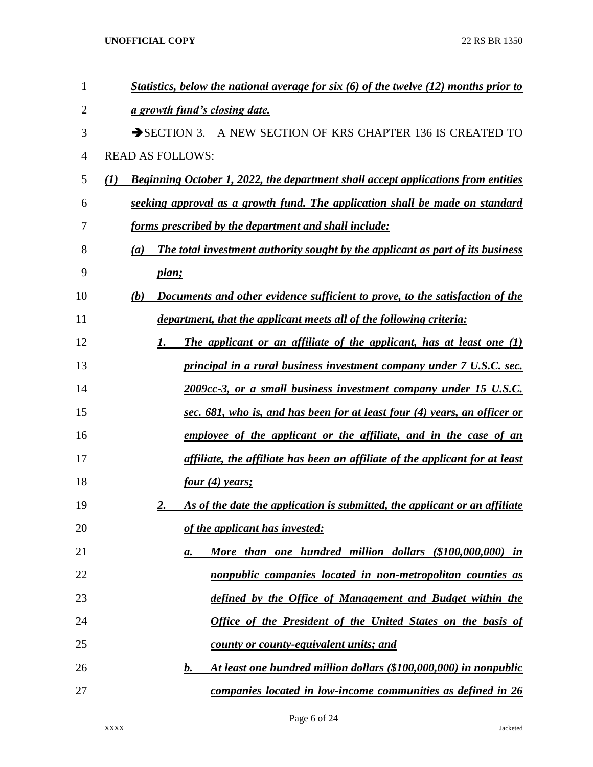| $\mathbf{1}$   | Statistics, below the national average for six $(6)$ of the twelve $(12)$ months prior to |
|----------------|-------------------------------------------------------------------------------------------|
| 2              | a growth fund's closing date.                                                             |
| 3              | SECTION 3. A NEW SECTION OF KRS CHAPTER 136 IS CREATED TO                                 |
| $\overline{4}$ | <b>READ AS FOLLOWS:</b>                                                                   |
| 5              | Beginning October 1, 2022, the department shall accept applications from entities<br>(1)  |
| 6              | seeking approval as a growth fund. The application shall be made on standard              |
| 7              | forms prescribed by the department and shall include:                                     |
| 8              | The total investment authority sought by the applicant as part of its business<br>(a)     |
| 9              | plan;                                                                                     |
| 10             | Documents and other evidence sufficient to prove, to the satisfaction of the<br>(b)       |
| 11             | department, that the applicant meets all of the following criteria:                       |
| 12             | The applicant or an affiliate of the applicant, has at least one $(1)$<br>1.              |
| 13             | principal in a rural business investment company under 7 U.S.C. sec.                      |
| 14             | 2009cc-3, or a small business investment company under 15 U.S.C.                          |
| 15             | sec. 681, who is, and has been for at least four (4) years, an officer or                 |
| 16             | employee of the applicant or the affiliate, and in the case of an                         |
| 17             | affiliate, the affiliate has been an affiliate of the applicant for at least              |
| 18             | four(4) years;                                                                            |
| 19             | As of the date the application is submitted, the applicant or an affiliate<br>2.          |
| 20             | of the applicant has invested:                                                            |
| 21             | More than one hundred million dollars (\$100,000,000) in<br>а.                            |
| 22             | nonpublic companies located in non-metropolitan counties as                               |
| 23             | defined by the Office of Management and Budget within the                                 |
| 24             | <b>Office of the President of the United States on the basis of</b>                       |
| 25             | county or county-equivalent units; and                                                    |
| 26             | At least one hundred million dollars (\$100,000,000) in nonpublic<br>b.                   |
| 27             | companies located in low-income communities as defined in 26                              |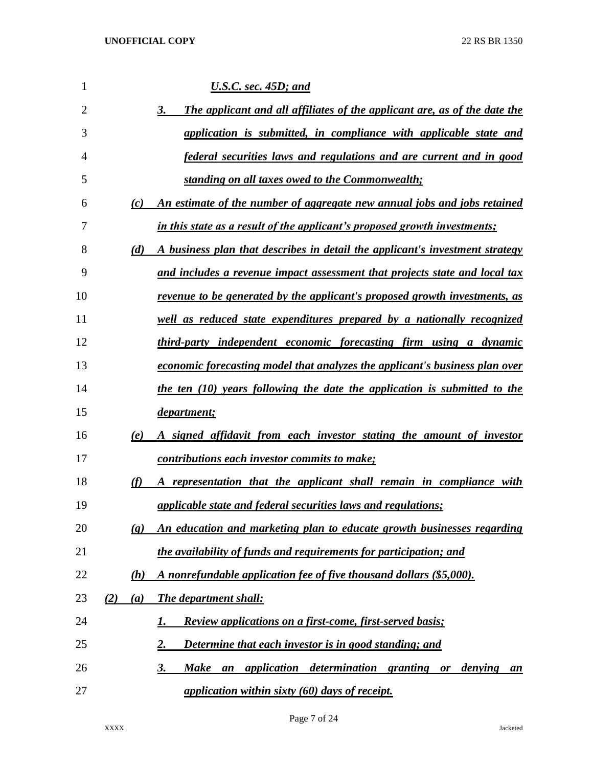| 1  |                             | <b>U.S.C.</b> sec. 45D; and                                                                        |
|----|-----------------------------|----------------------------------------------------------------------------------------------------|
| 2  |                             | The applicant and all affiliates of the applicant are, as of the date the<br>3.                    |
| 3  |                             | application is submitted, in compliance with applicable state and                                  |
| 4  |                             | <u>federal securities laws and regulations and are current and in good</u>                         |
| 5  |                             | standing on all taxes owed to the Commonwealth;                                                    |
| 6  | (c)                         | An estimate of the number of aggregate new annual jobs and jobs retained                           |
| 7  |                             | in this state as a result of the applicant's proposed growth investments;                          |
| 8  | (d)                         | A business plan that describes in detail the applicant's investment strategy                       |
| 9  |                             | and includes a revenue impact assessment that projects state and local tax                         |
| 10 |                             | <u>revenue to be generated by the applicant's proposed growth investments, as</u>                  |
| 11 |                             | well as reduced state expenditures prepared by a nationally recognized                             |
| 12 |                             | third-party independent economic forecasting firm using a dynamic                                  |
| 13 |                             | economic forecasting model that analyzes the applicant's business plan over                        |
| 14 |                             | the ten (10) years following the date the application is submitted to the                          |
| 15 |                             | department;                                                                                        |
| 16 | (e)                         | A signed affidavit from each investor stating the amount of investor                               |
| 17 |                             | contributions each investor commits to make;                                                       |
| 18 | (f)                         | A representation that the applicant shall remain in compliance with                                |
| 19 |                             | applicable state and federal securities laws and regulations;                                      |
| 20 | $\left( \mathbf{g} \right)$ | An education and marketing plan to educate growth businesses regarding                             |
| 21 |                             | the availability of funds and requirements for participation; and                                  |
| 22 | (h)                         | A nonrefundable application fee of five thousand dollars (\$5,000).                                |
| 23 | (2)<br>(a)                  | The department shall:                                                                              |
| 24 |                             | <b>Review applications on a first-come, first-served basis;</b><br>1.                              |
| 25 |                             | Determine that each investor is in good standing; and<br><u>2.</u>                                 |
| 26 |                             | determination granting or<br><b>Make</b><br><i>application</i><br><u>3.</u><br>denying<br>an<br>an |
| 27 |                             | application within sixty (60) days of receipt.                                                     |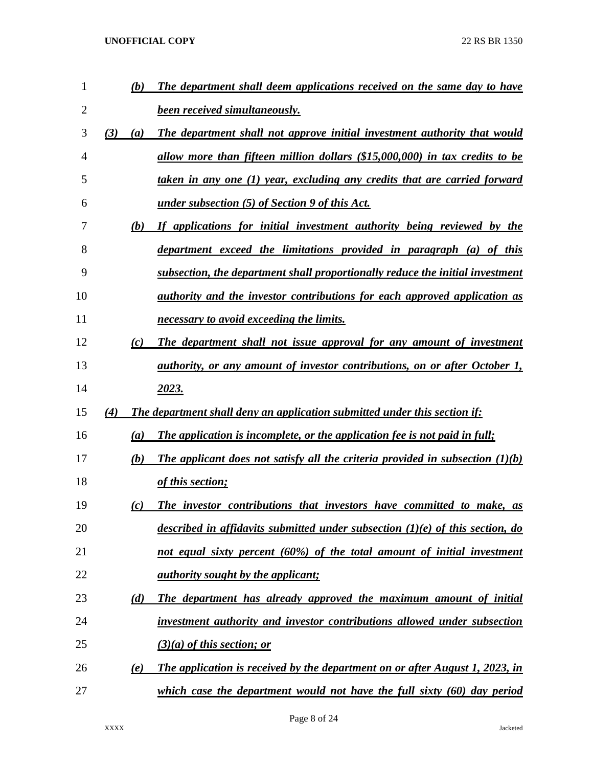| $\mathbf{1}$ |     | (b) | The department shall deem applications received on the same day to have             |
|--------------|-----|-----|-------------------------------------------------------------------------------------|
| 2            |     |     | <b>been received simultaneously.</b>                                                |
| 3            | (3) | (a) | The department shall not approve initial investment authority that would            |
| 4            |     |     | allow more than fifteen million dollars (\$15,000,000) in tax credits to be         |
| 5            |     |     | taken in any one (1) year, excluding any credits that are carried forward           |
| 6            |     |     | <u>under subsection (5) of Section 9 of this Act.</u>                               |
| 7            |     | (b) | If applications for initial investment authority being reviewed by the              |
| 8            |     |     | department exceed the limitations provided in paragraph (a) of this                 |
| 9            |     |     | subsection, the department shall proportionally reduce the initial investment       |
| 10           |     |     | <i>authority and the investor contributions for each approved application as</i>    |
| 11           |     |     | necessary to avoid exceeding the limits.                                            |
| 12           |     | (c) | The department shall not issue approval for any amount of investment                |
| 13           |     |     | <i>authority, or any amount of investor contributions, on or after October 1,</i>   |
| 14           |     |     | 2023.                                                                               |
|              |     |     |                                                                                     |
| 15           | (4) |     | The department shall deny an application submitted under this section if:           |
| 16           |     | (a) | The application is incomplete, or the application fee is not paid in full;          |
| 17           |     | (b) | The applicant does not satisfy all the criteria provided in subsection $(1)(b)$     |
| 18           |     |     | of this section;                                                                    |
| 19           |     | (c) | The investor contributions that investors have committed to make, as                |
| 20           |     |     | described in affidavits submitted under subsection $(1)(e)$ of this section, do     |
| 21           |     |     | not equal sixty percent (60%) of the total amount of initial investment             |
| 22           |     |     | <u>authority sought by the applicant;</u>                                           |
| 23           |     | (d) | The department has already approved the maximum amount of initial                   |
| 24           |     |     | investment authority and investor contributions allowed under subsection            |
| 25           |     |     | $(3)(a)$ of this section; or                                                        |
| 26           |     | (e) | <u>The application is received by the department on or after August 1, 2023, in</u> |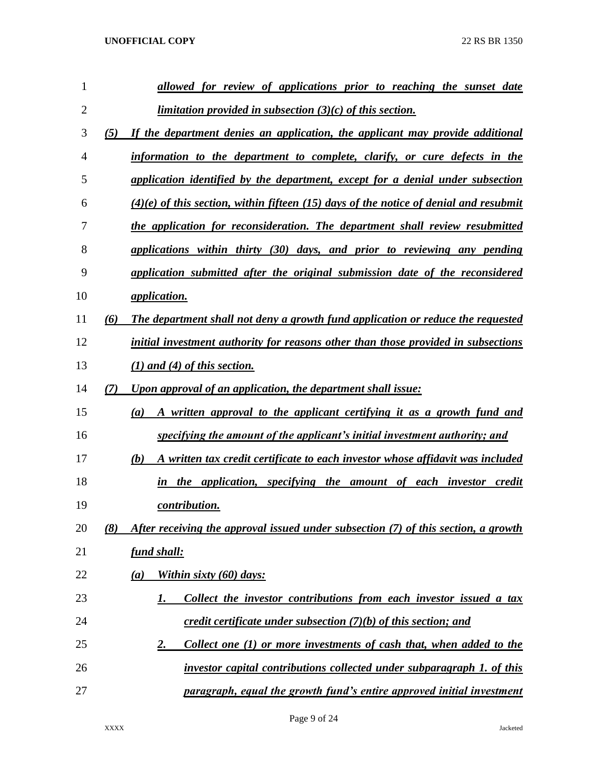| 1              |     | allowed for review of applications prior to reaching the sunset date                    |
|----------------|-----|-----------------------------------------------------------------------------------------|
| $\overline{2}$ |     | <i>limitation provided in subsection <math>(3)(c)</math> of this section.</i>           |
| 3              | (5) | If the department denies an application, the applicant may provide additional           |
| 4              |     | information to the department to complete, clarify, or cure defects in the              |
| 5              |     | application identified by the department, except for a denial under subsection          |
| 6              |     | $(4)(e)$ of this section, within fifteen (15) days of the notice of denial and resubmit |
| 7              |     | the application for reconsideration. The department shall review resubmitted            |
| 8              |     | applications within thirty (30) days, and prior to reviewing any pending                |
| 9              |     | application submitted after the original submission date of the reconsidered            |
| 10             |     | application.                                                                            |
| 11             | (6) | The department shall not deny a growth fund application or reduce the requested         |
| 12             |     | initial investment authority for reasons other than those provided in subsections       |
| 13             |     | $(1)$ and $(4)$ of this section.                                                        |
| 14             | (7) | Upon approval of an application, the department shall issue:                            |
| 15             |     | A written approval to the applicant certifying it as a growth fund and<br>(a)           |
| 16             |     | specifying the amount of the applicant's initial investment authority; and              |
| 17             |     | A written tax credit certificate to each investor whose affidavit was included<br>(b)   |
| 18             |     | the application, specifying the amount of each investor credit<br>in                    |
| 19             |     | contribution.                                                                           |
| 20             | (8) | After receiving the approval issued under subsection (7) of this section, a growth      |
| 21             |     | <u>fund shall:</u>                                                                      |
| 22             |     | Within sixty (60) days:<br>(a)                                                          |
| 23             |     | Collect the investor contributions from each investor issued a tax<br>1.                |
| 24             |     | credit certificate under subsection $(7)(b)$ of this section; and                       |
| 25             |     | Collect one (1) or more investments of cash that, when added to the<br><u>2.</u>        |
| 26             |     | investor capital contributions collected under subparagraph 1. of this                  |
| 27             |     | paragraph, equal the growth fund's entire approved initial investment                   |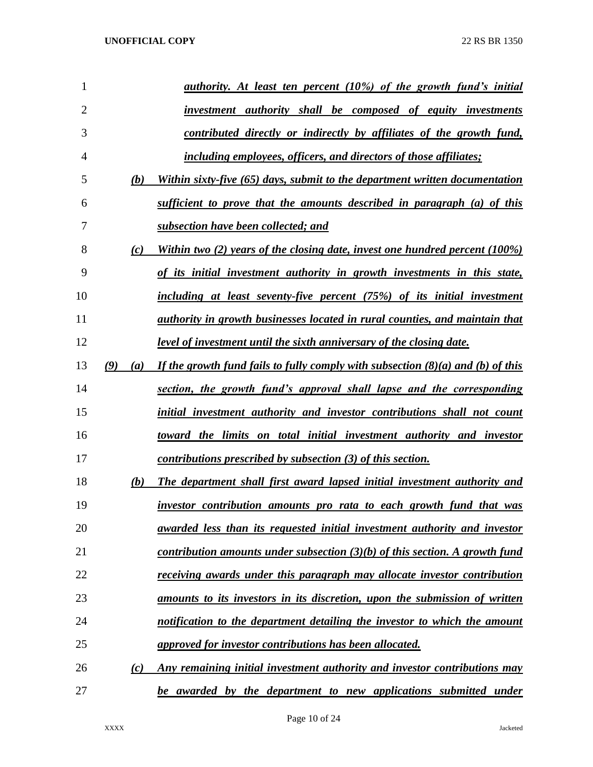| 1              |     |     | <u>authority. At least ten percent (10%) of the growth fund's initial</u>          |
|----------------|-----|-----|------------------------------------------------------------------------------------|
| $\overline{2}$ |     |     | <i>investment authority shall be composed of equity investments</i>                |
| 3              |     |     | contributed directly or indirectly by affiliates of the growth fund,               |
| $\overline{4}$ |     |     | <i>including employees, officers, and directors of those affiliates;</i>           |
| 5              |     | (b) | Within sixty-five (65) days, submit to the department written documentation        |
| 6              |     |     | sufficient to prove that the amounts described in paragraph (a) of this            |
| 7              |     |     | subsection have been collected; and                                                |
| 8              |     | (c) | Within two (2) years of the closing date, invest one hundred percent (100%)        |
| 9              |     |     | of its initial investment authority in growth investments in this state,           |
| 10             |     |     | including at least seventy-five percent (75%) of its initial investment            |
| 11             |     |     | <i>authority in growth businesses located in rural counties, and maintain that</i> |
| 12             |     |     | <u>level of investment until the sixth anniversary of the closing date.</u>        |
| 13             | (9) | (a) | If the growth fund fails to fully comply with subsection $(8)(a)$ and (b) of this  |
| 14             |     |     | section, the growth fund's approval shall lapse and the corresponding              |
| 15             |     |     | initial investment authority and investor contributions shall not count            |
| 16             |     |     | toward the limits on total initial investment authority and investor               |
| 17             |     |     | contributions prescribed by subsection (3) of this section.                        |
| 18             |     | (b) | The department shall first award lapsed initial investment authority and           |
| 19             |     |     | investor contribution amounts pro rata to each growth fund that was                |
| 20             |     |     | <u>awarded less than its requested initial investment authority and investor</u>   |
| 21             |     |     | contribution amounts under subsection $(3)(b)$ of this section. A growth fund      |
| 22             |     |     | receiving awards under this paragraph may allocate investor contribution           |
| 23             |     |     | amounts to its investors in its discretion, upon the submission of written         |
| 24             |     |     | notification to the department detailing the investor to which the amount          |
| 25             |     |     | approved for investor contributions has been allocated.                            |
| 26             |     | (c) | Any remaining initial investment authority and investor contributions may          |
| 27             |     |     | be awarded by the department to new applications submitted under                   |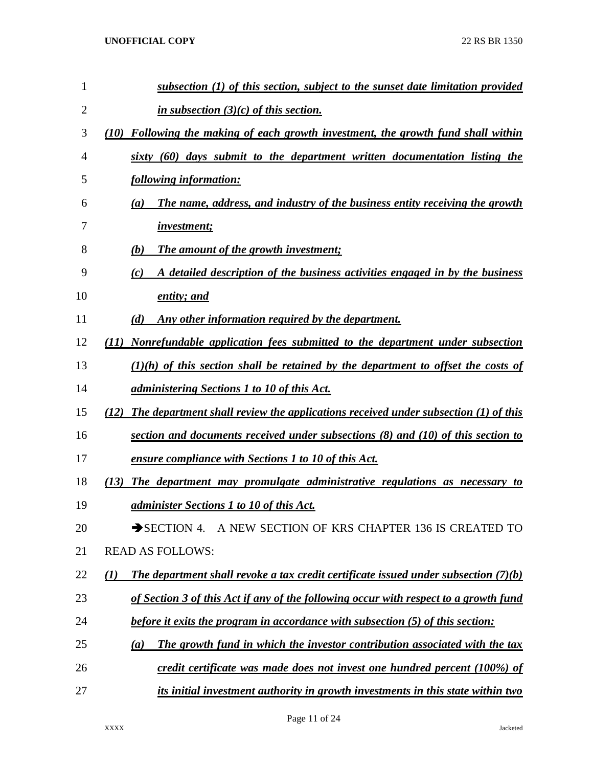| $\mathbf{1}$   | subsection $(1)$ of this section, subject to the sunset date limitation provided                      |
|----------------|-------------------------------------------------------------------------------------------------------|
| $\overline{2}$ | in subsection $(3)(c)$ of this section.                                                               |
| 3              | Following the making of each growth investment, the growth fund shall within<br>(10)                  |
| 4              | sixty (60) days submit to the department written documentation listing the                            |
| 5              | following information:                                                                                |
| 6              | The name, address, and industry of the business entity receiving the growth<br>$\left(a\right)$       |
| 7              | <i>investment;</i>                                                                                    |
| 8              | <b>The amount of the growth investment;</b><br>(b)                                                    |
| 9              | A detailed description of the business activities engaged in by the business<br>(c)                   |
| 10             | entity; and                                                                                           |
| 11             | Any other information required by the department.<br>(d)                                              |
| 12             | Nonrefundable application fees submitted to the department under subsection<br>(11)                   |
| 13             | $(1)(h)$ of this section shall be retained by the department to offset the costs of                   |
| 14             | <i>administering Sections 1 to 10 of this Act.</i>                                                    |
| 15             | The department shall review the applications received under subsection (1) of this<br>(12)            |
| 16             | section and documents received under subsections $(8)$ and $(10)$ of this section to                  |
| 17             | <u>ensure compliance with Sections 1 to 10 of this Act.</u>                                           |
| 18             | The department may promulgate administrative regulations as necessary<br>(13)<br>to                   |
| 19             | <i>administer Sections 1 to 10 of this Act.</i>                                                       |
| 20             | SECTION 4. A NEW SECTION OF KRS CHAPTER 136 IS CREATED TO                                             |
| 21             | <b>READ AS FOLLOWS:</b>                                                                               |
| 22             | The department shall revoke a tax credit certificate issued under subsection $(7)(b)$<br>$\mathbf{U}$ |
| 23             | of Section 3 of this Act if any of the following occur with respect to a growth fund                  |
| 24             | <i>before it exits the program in accordance with subsection (5) of this section:</i>                 |
| 25             | The growth fund in which the investor contribution associated with the tax<br>(a)                     |
| 26             | credit certificate was made does not invest one hundred percent (100%) of                             |
| 27             | its initial investment authority in growth investments in this state within two                       |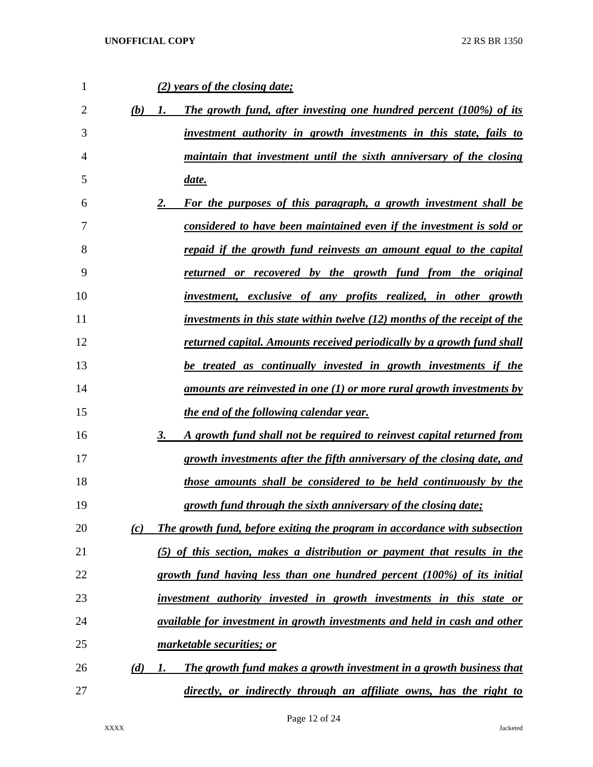| 1              |     | (2) years of the closing date;                                                   |
|----------------|-----|----------------------------------------------------------------------------------|
| $\overline{2}$ | (b) | The growth fund, after investing one hundred percent (100%) of its<br>1.         |
| 3              |     | <u>investment authority in growth investments in this state, fails to</u>        |
| $\overline{4}$ |     | <u>maintain that investment until the sixth anniversary of the closing</u>       |
| 5              |     | date.                                                                            |
| 6              |     | For the purposes of this paragraph, a growth investment shall be<br>2.           |
| 7              |     | considered to have been maintained even if the investment is sold or             |
| 8              |     | <u>repaid if the growth fund reinvests an amount equal to the capital</u>        |
| 9              |     | <u>returned or recovered by the growth fund from the original</u>                |
| 10             |     | investment, exclusive of any profits realized, in other growth                   |
| 11             |     | <u>investments in this state within twelve (12) months of the receipt of the</u> |
| 12             |     | returned capital. Amounts received periodically by a growth fund shall           |
| 13             |     | be treated as continually invested in growth investments if the                  |
| 14             |     | <u>amounts are reinvested in one (1) or more rural growth investments by</u>     |
| 15             |     | the end of the following calendar year.                                          |
| 16             |     | 3.<br>A growth fund shall not be required to reinvest capital returned from      |
| 17             |     | growth investments after the fifth anniversary of the closing date, and          |
| 18             |     | those amounts shall be considered to be held continuously by the                 |
| 19             |     | growth fund through the sixth anniversary of the closing date;                   |
| 20             | (c) | The growth fund, before exiting the program in accordance with subsection        |
| 21             |     | (5) of this section, makes a distribution or payment that results in the         |
| 22             |     | growth fund having less than one hundred percent (100%) of its initial           |
| 23             |     | investment authority invested in growth investments in this state or             |
| 24             |     | <i>available for investment in growth investments and held in cash and other</i> |
| 25             |     | marketable securities; or                                                        |
| 26             | (d) | The growth fund makes a growth investment in a growth business that<br>1.        |
| 27             |     | directly, or indirectly through an affiliate owns, has the right to              |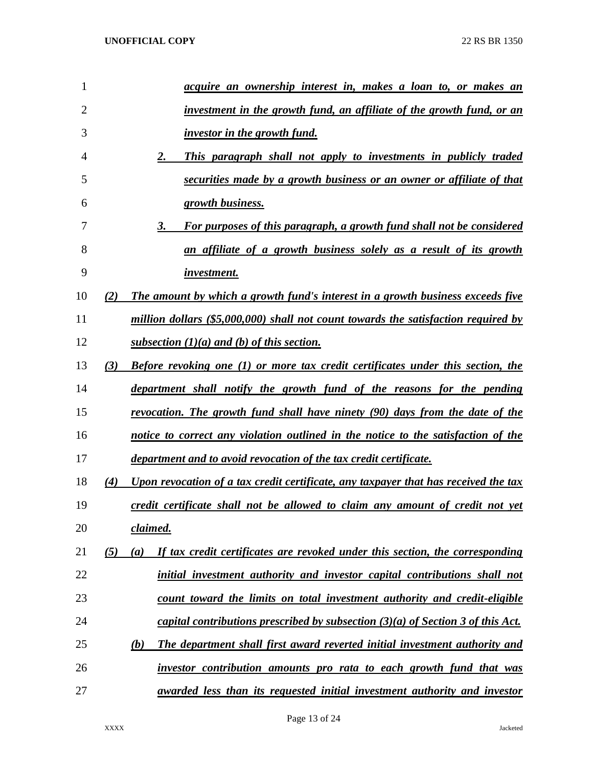| $\mathbf{1}$   |     | <u>acquire an ownership interest in, makes a loan to, or makes an</u>               |
|----------------|-----|-------------------------------------------------------------------------------------|
| $\overline{2}$ |     | investment in the growth fund, an affiliate of the growth fund, or an               |
| 3              |     | <i>investor in the growth fund.</i>                                                 |
| 4              |     | This paragraph shall not apply to investments in publicly traded<br>2.              |
| 5              |     | securities made by a growth business or an owner or affiliate of that               |
| 6              |     | growth business.                                                                    |
| 7              |     | 3.<br>For purposes of this paragraph, a growth fund shall not be considered         |
| 8              |     | an affiliate of a growth business solely as a result of its growth                  |
| 9              |     | <i>investment.</i>                                                                  |
| 10             | (2) | The amount by which a growth fund's interest in a growth business exceeds five      |
| 11             |     | million dollars (\$5,000,000) shall not count towards the satisfaction required by  |
| 12             |     | subsection $(1)(a)$ and (b) of this section.                                        |
| 13             | (3) | Before revoking one (1) or more tax credit certificates under this section, the     |
| 14             |     | department shall notify the growth fund of the reasons for the pending              |
| 15             |     | revocation. The growth fund shall have ninety (90) days from the date of the        |
| 16             |     | notice to correct any violation outlined in the notice to the satisfaction of the   |
| 17             |     | department and to avoid revocation of the tax credit certificate.                   |
| 18             | (4) | Upon revocation of a tax credit certificate, any taxpayer that has received the tax |
| 19             |     | credit certificate shall not be allowed to claim any amount of credit not yet       |
| 20             |     | claimed.                                                                            |
| 21             | (5) | If tax credit certificates are revoked under this section, the corresponding<br>(a) |
| 22             |     | initial investment authority and investor capital contributions shall not           |
| 23             |     | count toward the limits on total investment authority and credit-eligible           |
| 24             |     | capital contributions prescribed by subsection $(3)(a)$ of Section 3 of this Act.   |
| 25             |     | The department shall first award reverted initial investment authority and<br>(b)   |
| 26             |     | investor contribution amounts pro rata to each growth fund that was                 |
| 27             |     | awarded less than its requested initial investment authority and investor           |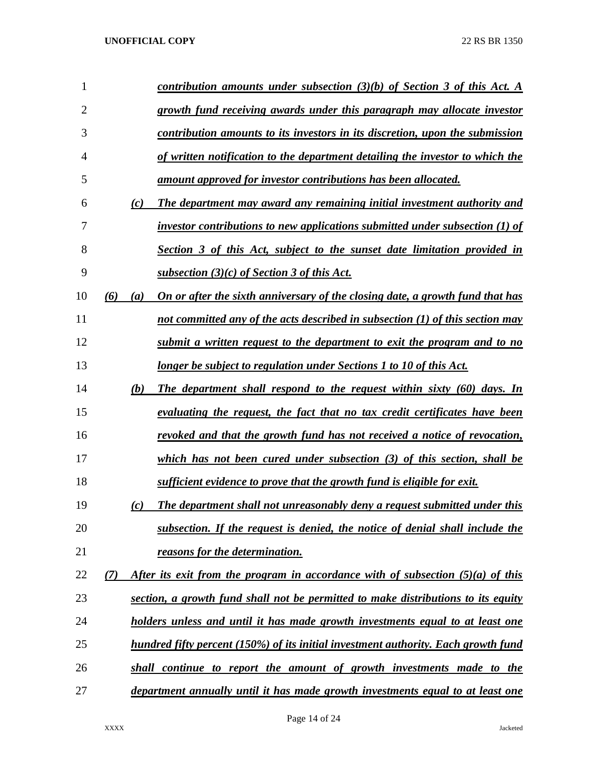| 1              |            | contribution amounts under subsection $(3)(b)$ of Section 3 of this Act. A                |
|----------------|------------|-------------------------------------------------------------------------------------------|
| $\overline{2}$ |            | growth fund receiving awards under this paragraph may allocate investor                   |
| 3              |            | contribution amounts to its investors in its discretion, upon the submission              |
| $\overline{4}$ |            | of written notification to the department detailing the investor to which the             |
| 5              |            | amount approved for investor contributions has been allocated.                            |
| 6              | (c)        | The department may award any remaining initial investment authority and                   |
| 7              |            | investor contributions to new applications submitted under subsection $(1)$ of            |
| 8              |            | Section 3 of this Act, subject to the sunset date limitation provided in                  |
| 9              |            | subsection $(3)(c)$ of Section 3 of this Act.                                             |
| 10             | (6)<br>(a) | On or after the sixth anniversary of the closing date, a growth fund that has             |
| 11             |            | not committed any of the acts described in subsection (1) of this section may             |
| 12             |            | submit a written request to the department to exit the program and to no                  |
| 13             |            | <u>longer be subject to regulation under Sections 1 to 10 of this Act.</u>                |
| 14             | (b)        | The department shall respond to the request within sixty (60) days. In                    |
| 15             |            | evaluating the request, the fact that no tax credit certificates have been                |
| 16             |            | revoked and that the growth fund has not received a notice of revocation,                 |
| 17             |            | which has not been cured under subsection $(3)$ of this section, shall be                 |
| 18             |            | sufficient evidence to prove that the growth fund is eligible for exit.                   |
| 19             | (c)        | The department shall not unreasonably deny a request submitted under this                 |
| 20             |            | subsection. If the request is denied, the notice of denial shall include the              |
| 21             |            | reasons for the determination.                                                            |
| 22             | (7)        | After its exit from the program in accordance with of subsection $(5)(a)$ of this         |
| 23             |            | section, a growth fund shall not be permitted to make distributions to its equity         |
| 24             |            | holders unless and until it has made growth investments equal to at least one             |
| 25             |            | <u>hundred fifty percent (150%) of its initial investment authority. Each growth fund</u> |
| 26             |            | shall continue to report the amount of growth investments made to the                     |
| 27             |            | department annually until it has made growth investments equal to at least one            |
|                |            |                                                                                           |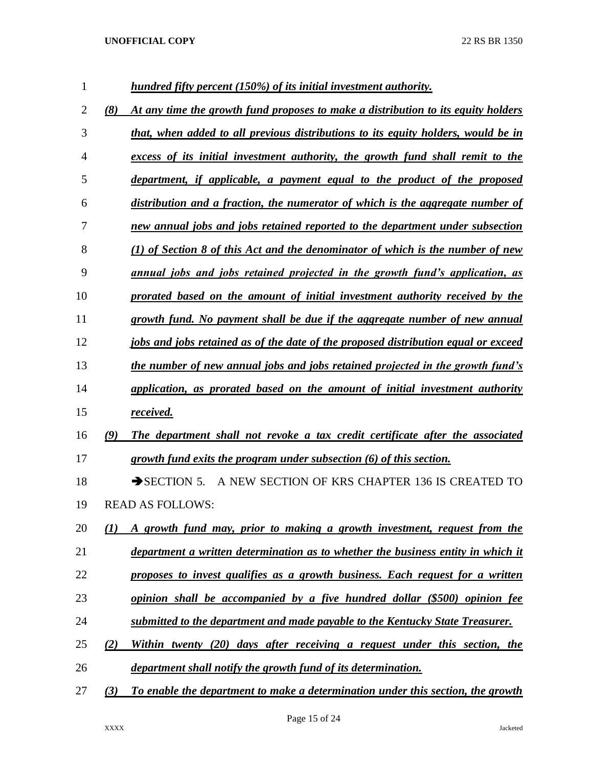| 1              |     | hundred fifty percent (150%) of its initial investment authority.                  |
|----------------|-----|------------------------------------------------------------------------------------|
| $\overline{2}$ | (8) | At any time the growth fund proposes to make a distribution to its equity holders  |
| 3              |     | that, when added to all previous distributions to its equity holders, would be in  |
| $\overline{4}$ |     | excess of its initial investment authority, the growth fund shall remit to the     |
| 5              |     | department, if applicable, a payment equal to the product of the proposed          |
| 6              |     | distribution and a fraction, the numerator of which is the aggregate number of     |
| 7              |     | new annual jobs and jobs retained reported to the department under subsection      |
| 8              |     | $(1)$ of Section 8 of this Act and the denominator of which is the number of new   |
| 9              |     | annual jobs and jobs retained projected in the growth fund's application, as       |
| 10             |     | prorated based on the amount of initial investment authority received by the       |
| 11             |     | growth fund. No payment shall be due if the aggregate number of new annual         |
| 12             |     | jobs and jobs retained as of the date of the proposed distribution equal or exceed |
| 13             |     | the number of new annual jobs and jobs retained projected in the growth fund's     |
| 14             |     | application, as prorated based on the amount of initial investment authority       |
| 15             |     | received.                                                                          |
| 16             | (9) | The department shall not revoke a tax credit certificate after the associated      |
| 17             |     | growth fund exits the program under subsection (6) of this section.                |
| 18             |     | $\rightarrow$ SECTION 5.<br>A NEW SECTION OF KRS CHAPTER 136 IS CREATED TO         |
| 19             |     | <b>READ AS FOLLOWS:</b>                                                            |
| 20             | (1) | A growth fund may, prior to making a growth investment, request from the           |
| 21             |     | department a written determination as to whether the business entity in which it   |
| 22             |     | proposes to invest qualifies as a growth business. Each request for a written      |
| 23             |     | opinion shall be accompanied by a five hundred dollar (\$500) opinion fee          |
| 24             |     | submitted to the department and made payable to the Kentucky State Treasurer.      |
| 25             | (2) | Within twenty (20) days after receiving a request under this section, the          |
| 26             |     | department shall notify the growth fund of its determination.                      |
| 27             | (3) | To enable the department to make a determination under this section, the growth    |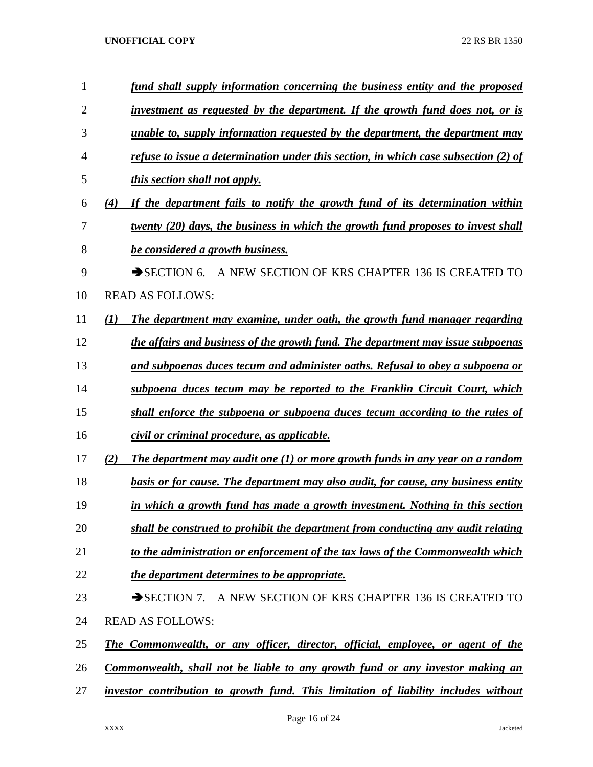| 1              | fund shall supply information concerning the business entity and the proposed                 |
|----------------|-----------------------------------------------------------------------------------------------|
| $\overline{2}$ | investment as requested by the department. If the growth fund does not, or is                 |
| 3              | unable to, supply information requested by the department, the department may                 |
| 4              | refuse to issue a determination under this section, in which case subsection $(2)$ of         |
| 5              | <i>this section shall not apply.</i>                                                          |
| 6              | If the department fails to notify the growth fund of its determination within<br>(4)          |
| 7              | twenty (20) days, the business in which the growth fund proposes to invest shall              |
| 8              | be considered a growth business.                                                              |
| 9              | $\rightarrow$ SECTION 6.<br>A NEW SECTION OF KRS CHAPTER 136 IS CREATED TO                    |
| 10             | <b>READ AS FOLLOWS:</b>                                                                       |
| 11             | The department may examine, under oath, the growth fund manager regarding<br>$\mathcal{L}(I)$ |
| 12             | the affairs and business of the growth fund. The department may issue subpoenas               |
| 13             | and subpoenas duces tecum and administer oaths. Refusal to obey a subpoena or                 |
| 14             | subpoena duces tecum may be reported to the Franklin Circuit Court, which                     |
| 15             | shall enforce the subpoena or subpoena duces tecum according to the rules of                  |
| 16             | civil or criminal procedure, as applicable.                                                   |
| 17             | The department may audit one $(1)$ or more growth funds in any year on a random<br>(2)        |
| 18             | <b>basis or for cause. The department may also audit, for cause, any business entity</b>      |
| 19             | in which a growth fund has made a growth investment. Nothing in this section                  |
| 20             | shall be construed to prohibit the department from conducting any audit relating              |
| 21             | to the administration or enforcement of the tax laws of the Commonwealth which                |
| 22             | the department determines to be appropriate.                                                  |
| 23             | SECTION 7. A NEW SECTION OF KRS CHAPTER 136 IS CREATED TO                                     |
| 24             | <b>READ AS FOLLOWS:</b>                                                                       |
| 25             | <b>The Commonwealth, or any officer, director, official, employee, or agent of the</b>        |
| 26             | Commonwealth, shall not be liable to any growth fund or any investor making an                |
| 27             | investor contribution to growth fund. This limitation of liability includes without           |
|                |                                                                                               |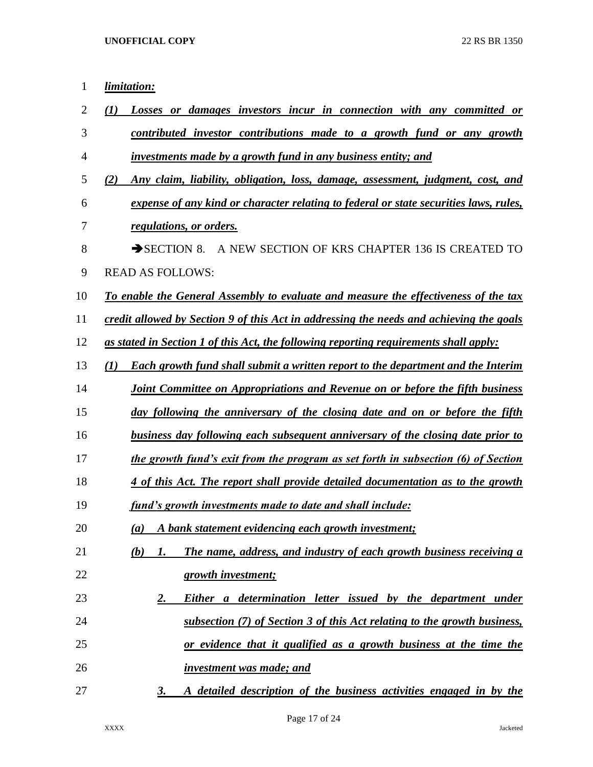| 1  | limitation:                                                                                    |
|----|------------------------------------------------------------------------------------------------|
| 2  | Losses or damages investors incur in connection with any committed or<br>(I)                   |
| 3  | contributed investor contributions made to a growth fund or any growth                         |
| 4  | investments made by a growth fund in any business entity; and                                  |
| 5  | Any claim, liability, obligation, loss, damage, assessment, judgment, cost, and<br>(2)         |
| 6  | expense of any kind or character relating to federal or state securities laws, rules,          |
| 7  | regulations, or orders.                                                                        |
| 8  | $\rightarrow$ SECTION 8.<br>A NEW SECTION OF KRS CHAPTER 136 IS CREATED TO                     |
| 9  | <b>READ AS FOLLOWS:</b>                                                                        |
| 10 | To enable the General Assembly to evaluate and measure the effectiveness of the tax            |
| 11 | credit allowed by Section 9 of this Act in addressing the needs and achieving the goals        |
| 12 | as stated in Section 1 of this Act, the following reporting requirements shall apply:          |
| 13 | <b>Each growth fund shall submit a written report to the department and the Interim</b><br>(I) |
| 14 | Joint Committee on Appropriations and Revenue on or before the fifth business                  |
| 15 | day following the anniversary of the closing date and on or before the fifth                   |
| 16 | business day following each subsequent anniversary of the closing date prior to                |
| 17 | the growth fund's exit from the program as set forth in subsection (6) of Section              |
| 18 | 4 of this Act. The report shall provide detailed documentation as to the growth                |
| 19 | fund's growth investments made to date and shall include:                                      |
| 20 | A bank statement evidencing each growth investment;<br>(a)                                     |
| 21 | The name, address, and industry of each growth business receiving a<br>(b)<br>1.               |
| 22 | growth investment;                                                                             |
| 23 | Either a determination letter issued by the department under<br>2.                             |
| 24 | subsection (7) of Section 3 of this Act relating to the growth business,                       |
| 25 | or evidence that it qualified as a growth business at the time the                             |
| 26 | investment was made; and                                                                       |
| 27 | A detailed description of the business activities engaged in by the<br>3.                      |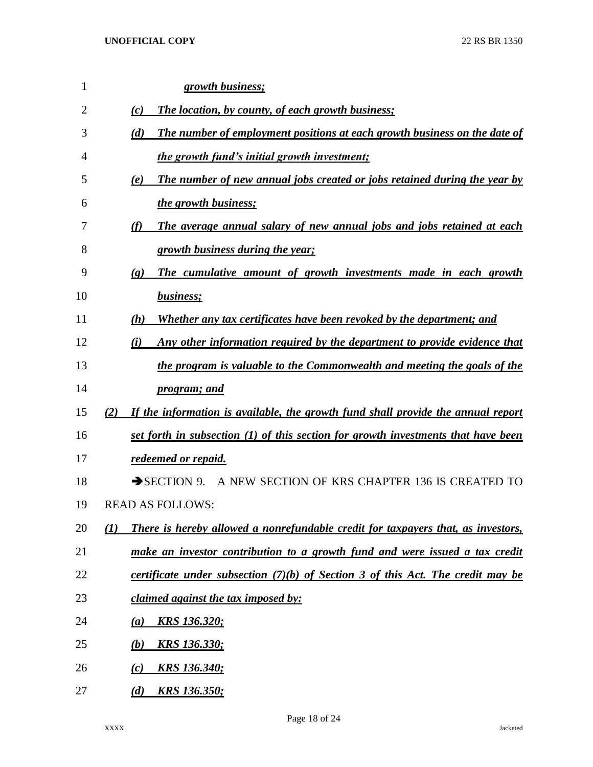| 1  |     | growth business;                                                                               |
|----|-----|------------------------------------------------------------------------------------------------|
| 2  |     | <b>The location, by county, of each growth business;</b><br>(c)                                |
| 3  |     | The number of employment positions at each growth business on the date of<br>(d)               |
| 4  |     | the growth fund's initial growth investment;                                                   |
| 5  |     | The number of new annual jobs created or jobs retained during the year by<br>(e)               |
| 6  |     | <i>the growth business;</i>                                                                    |
| 7  |     | (f)<br>The average annual salary of new annual jobs and jobs retained at each                  |
| 8  |     | growth business during the year;                                                               |
| 9  |     | The cumulative amount of growth investments made in each growth<br>$\left( \mathbf{g} \right)$ |
| 10 |     | business;                                                                                      |
| 11 |     | Whether any tax certificates have been revoked by the department; and<br>(h)                   |
| 12 |     | Any other information required by the department to provide evidence that<br>(i)               |
| 13 |     | the program is valuable to the Commonwealth and meeting the goals of the                       |
| 14 |     | <i>program; and</i>                                                                            |
| 15 | (2) | If the information is available, the growth fund shall provide the annual report               |
| 16 |     | set forth in subsection (1) of this section for growth investments that have been              |
| 17 |     | redeemed or repaid.                                                                            |
| 18 |     | $\rightarrow$ SECTION 9.<br>A NEW SECTION OF KRS CHAPTER 136 IS CREATED TO                     |
| 19 |     | <b>READ AS FOLLOWS:</b>                                                                        |
| 20 | (1) | There is hereby allowed a nonrefundable credit for taxpayers that, as investors,               |
| 21 |     | make an investor contribution to a growth fund and were issued a tax credit                    |
| 22 |     | certificate under subsection $(7)(b)$ of Section 3 of this Act. The credit may be              |
| 23 |     | <i>claimed against the tax imposed by:</i>                                                     |
| 24 |     | <u>KRS 136.320;</u><br>(a)                                                                     |
| 25 |     | <u>KRS 136.330;</u><br>(b)                                                                     |
| 26 |     | <u>KRS 136.340;</u><br>(c)                                                                     |
| 27 |     | <u>KRS 136.350;</u><br>(d)                                                                     |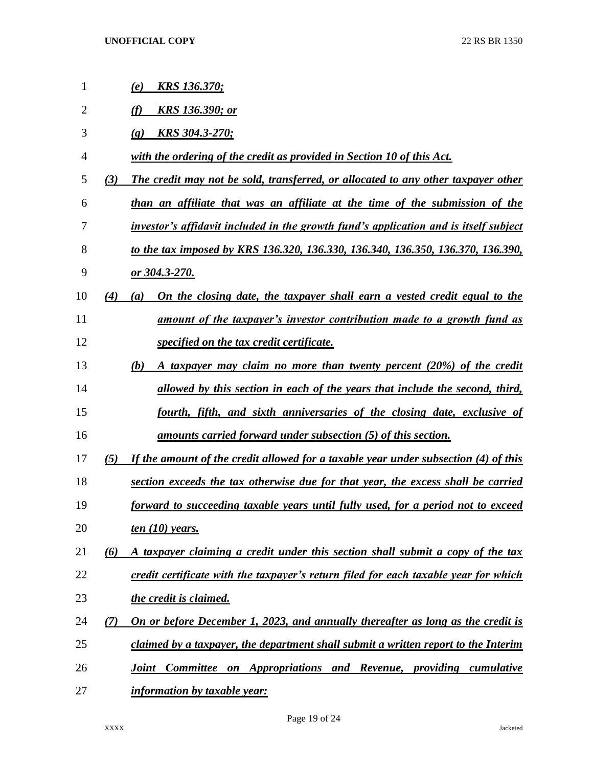| 1              |     | <u>KRS 136.370;</u><br>(e)                                                              |
|----------------|-----|-----------------------------------------------------------------------------------------|
| $\overline{2}$ |     | <b>KRS</b> 136.390; or<br>(f)                                                           |
| 3              |     | <b>KRS 304.3-270;</b><br>$\left( \mathbf{g} \right)$                                    |
| 4              |     | with the ordering of the credit as provided in Section 10 of this Act.                  |
| 5              | (3) | The credit may not be sold, transferred, or allocated to any other taxpayer other       |
| 6              |     | than an affiliate that was an affiliate at the time of the submission of the            |
| 7              |     | investor's affidavit included in the growth fund's application and is itself subject    |
| 8              |     | to the tax imposed by KRS 136.320, 136.330, 136.340, 136.350, 136.370, 136.390,         |
| 9              |     | or 304.3-270.                                                                           |
| 10             | (4) | On the closing date, the taxpayer shall earn a vested credit equal to the<br>(a)        |
| 11             |     | amount of the taxpayer's investor contribution made to a growth fund as                 |
| 12             |     | specified on the tax credit certificate.                                                |
| 13             |     | A taxpayer may claim no more than twenty percent (20%) of the credit<br>(b)             |
| 14             |     | allowed by this section in each of the years that include the second, third,            |
| 15             |     | fourth, fifth, and sixth anniversaries of the closing date, exclusive of                |
| 16             |     | amounts carried forward under subsection (5) of this section.                           |
| 17             | (5) | If the amount of the credit allowed for a taxable year under subsection (4) of this     |
| 18             |     | section exceeds the tax otherwise due for that year, the excess shall be carried        |
| 19             |     | forward to succeeding taxable years until fully used, for a period not to exceed        |
| 20             |     | ten $(10)$ years.                                                                       |
| 21             | (6) | A taxpayer claiming a credit under this section shall submit a copy of the tax          |
| 22             |     | credit certificate with the taxpayer's return filed for each taxable year for which     |
| 23             |     | the credit is claimed.                                                                  |
| 24             | (7) | On or before December 1, 2023, and annually thereafter as long as the credit is         |
| 25             |     | claimed by a taxpayer, the department shall submit a written report to the Interim      |
| 26             |     | on Appropriations and Revenue, providing cumulative<br><b>Committee</b><br><b>Joint</b> |
| 27             |     | <i>information by taxable year:</i>                                                     |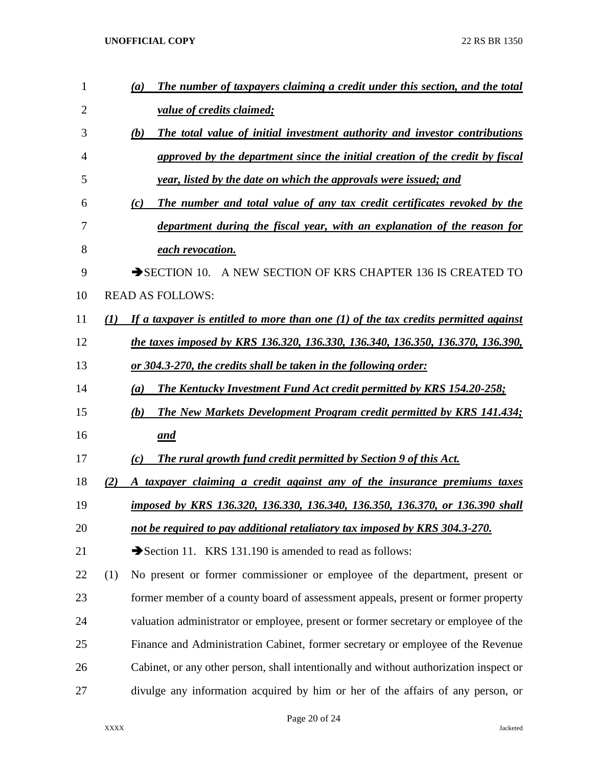| $\mathbf{1}$   |     | The number of taxpayers claiming a credit under this section, and the total<br>(a)     |
|----------------|-----|----------------------------------------------------------------------------------------|
| $\overline{2}$ |     | value of credits claimed;                                                              |
| 3              |     | (b)<br>The total value of initial investment authority and investor contributions      |
| 4              |     | approved by the department since the initial creation of the credit by fiscal          |
| 5              |     | year, listed by the date on which the approvals were issued; and                       |
| 6              |     | The number and total value of any tax credit certificates revoked by the<br>(c)        |
| 7              |     | department during the fiscal year, with an explanation of the reason for               |
| 8              |     | each revocation.                                                                       |
| 9              |     | $\rightarrow$ SECTION 10.<br>A NEW SECTION OF KRS CHAPTER 136 IS CREATED TO            |
| 10             |     | <b>READ AS FOLLOWS:</b>                                                                |
| 11             | (1) | If a taxpayer is entitled to more than one $(1)$ of the tax credits permitted against  |
| 12             |     | the taxes imposed by KRS 136.320, 136.330, 136.340, 136.350, 136.370, 136.390,         |
| 13             |     | <u>or 304.3-270, the credits shall be taken in the following order:</u>                |
| 14             |     | <b>The Kentucky Investment Fund Act credit permitted by KRS 154.20-258;</b><br>(a)     |
| 15             |     | <b>The New Markets Development Program credit permitted by KRS 141.434;</b><br>(b)     |
| 16             |     | and                                                                                    |
| 17             |     | The rural growth fund credit permitted by Section 9 of this Act.<br>(c)                |
| 18             | (2) | A taxpayer claiming a credit against any of the insurance premiums taxes               |
| 19             |     | imposed by KRS 136.320, 136.330, 136.340, 136.350, 136.370, or 136.390 shall           |
| 20             |     | not be required to pay additional retaliatory tax imposed by KRS 304.3-270.            |
| 21             |     | Section 11. KRS 131.190 is amended to read as follows:                                 |
| 22             | (1) | No present or former commissioner or employee of the department, present or            |
| 23             |     | former member of a county board of assessment appeals, present or former property      |
| 24             |     | valuation administrator or employee, present or former secretary or employee of the    |
| 25             |     | Finance and Administration Cabinet, former secretary or employee of the Revenue        |
| 26             |     | Cabinet, or any other person, shall intentionally and without authorization inspect or |
| 27             |     | divulge any information acquired by him or her of the affairs of any person, or        |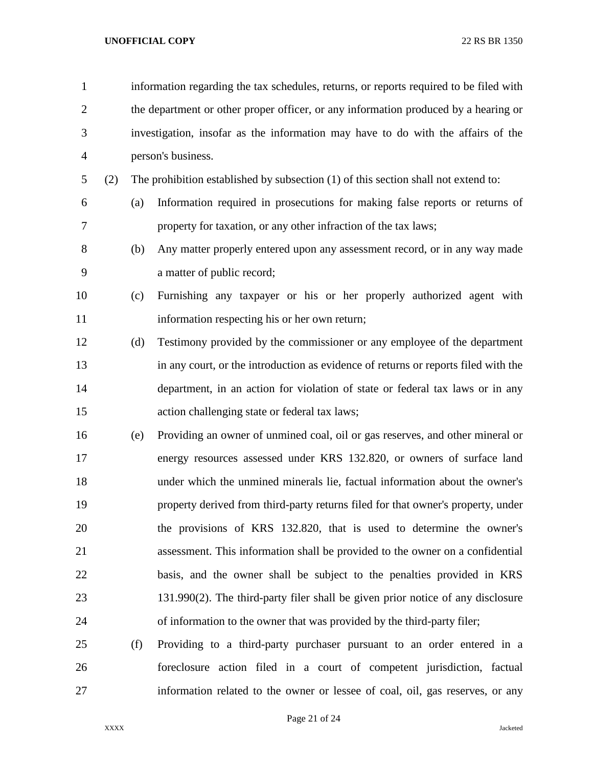| $\mathbf{1}$   |     | information regarding the tax schedules, returns, or reports required to be filed with |                                                                                    |  |  |
|----------------|-----|----------------------------------------------------------------------------------------|------------------------------------------------------------------------------------|--|--|
| $\overline{2}$ |     | the department or other proper officer, or any information produced by a hearing or    |                                                                                    |  |  |
| 3              |     | investigation, insofar as the information may have to do with the affairs of the       |                                                                                    |  |  |
| $\overline{4}$ |     |                                                                                        | person's business.                                                                 |  |  |
| 5              | (2) |                                                                                        | The prohibition established by subsection (1) of this section shall not extend to: |  |  |
| 6              |     | (a)                                                                                    | Information required in prosecutions for making false reports or returns of        |  |  |
| 7              |     |                                                                                        | property for taxation, or any other infraction of the tax laws;                    |  |  |
| 8              |     | (b)                                                                                    | Any matter properly entered upon any assessment record, or in any way made         |  |  |
| 9              |     |                                                                                        | a matter of public record;                                                         |  |  |
| 10             |     | (c)                                                                                    | Furnishing any taxpayer or his or her properly authorized agent with               |  |  |
| 11             |     |                                                                                        | information respecting his or her own return;                                      |  |  |
| 12             |     | (d)                                                                                    | Testimony provided by the commissioner or any employee of the department           |  |  |
| 13             |     |                                                                                        | in any court, or the introduction as evidence of returns or reports filed with the |  |  |
| 14             |     |                                                                                        | department, in an action for violation of state or federal tax laws or in any      |  |  |
| 15             |     |                                                                                        | action challenging state or federal tax laws;                                      |  |  |
| 16             |     | (e)                                                                                    | Providing an owner of unmined coal, oil or gas reserves, and other mineral or      |  |  |
| 17             |     |                                                                                        | energy resources assessed under KRS 132.820, or owners of surface land             |  |  |
| 18             |     |                                                                                        | under which the unmined minerals lie, factual information about the owner's        |  |  |
| 19             |     |                                                                                        | property derived from third-party returns filed for that owner's property, under   |  |  |
| 20             |     |                                                                                        | the provisions of KRS 132.820, that is used to determine the owner's               |  |  |
| 21             |     |                                                                                        | assessment. This information shall be provided to the owner on a confidential      |  |  |
| 22             |     |                                                                                        | basis, and the owner shall be subject to the penalties provided in KRS             |  |  |
| 23             |     |                                                                                        | $131.990(2)$ . The third-party filer shall be given prior notice of any disclosure |  |  |
| 24             |     |                                                                                        | of information to the owner that was provided by the third-party filer;            |  |  |
| 25             |     | (f)                                                                                    | Providing to a third-party purchaser pursuant to an order entered in a             |  |  |
| 26             |     |                                                                                        | foreclosure action filed in a court of competent jurisdiction, factual             |  |  |

Page 21 of 24

information related to the owner or lessee of coal, oil, gas reserves, or any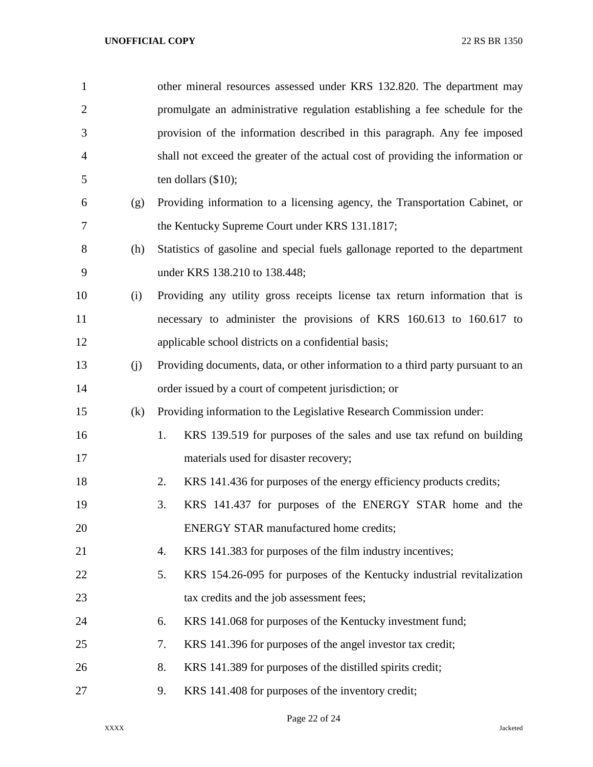| $\mathbf{1}$   |     | other mineral resources assessed under KRS 132.820. The department may          |  |  |
|----------------|-----|---------------------------------------------------------------------------------|--|--|
| $\overline{2}$ |     | promulgate an administrative regulation establishing a fee schedule for the     |  |  |
| 3              |     | provision of the information described in this paragraph. Any fee imposed       |  |  |
| 4              |     | shall not exceed the greater of the actual cost of providing the information or |  |  |
| 5              |     | ten dollars $(\$10)$ ;                                                          |  |  |
| 6              | (g) | Providing information to a licensing agency, the Transportation Cabinet, or     |  |  |
| 7              |     | the Kentucky Supreme Court under KRS 131.1817;                                  |  |  |
| 8              | (h) | Statistics of gasoline and special fuels gallonage reported to the department   |  |  |
| 9              |     | under KRS 138.210 to 138.448;                                                   |  |  |
| 10             | (i) | Providing any utility gross receipts license tax return information that is     |  |  |
| 11             |     | necessary to administer the provisions of KRS 160.613 to 160.617 to             |  |  |
| 12             |     | applicable school districts on a confidential basis;                            |  |  |
| 13             | (j) | Providing documents, data, or other information to a third party pursuant to an |  |  |
| 14             |     | order issued by a court of competent jurisdiction; or                           |  |  |
| 15             | (k) | Providing information to the Legislative Research Commission under:             |  |  |
| 16             |     | KRS 139.519 for purposes of the sales and use tax refund on building<br>1.      |  |  |
| 17             |     | materials used for disaster recovery;                                           |  |  |
| 18             |     | KRS 141.436 for purposes of the energy efficiency products credits;<br>2.       |  |  |
| 19             |     | KRS 141.437 for purposes of the ENERGY STAR home and the<br>3.                  |  |  |
| 20             |     | ENERGY STAR manufactured home credits;                                          |  |  |
| 21             |     | KRS 141.383 for purposes of the film industry incentives;<br>4.                 |  |  |
| 22             |     | KRS 154.26-095 for purposes of the Kentucky industrial revitalization<br>5.     |  |  |
| 23             |     | tax credits and the job assessment fees;                                        |  |  |
| 24             |     | KRS 141.068 for purposes of the Kentucky investment fund;<br>6.                 |  |  |
| 25             |     | KRS 141.396 for purposes of the angel investor tax credit;<br>7.                |  |  |
| 26             |     | KRS 141.389 for purposes of the distilled spirits credit;<br>8.                 |  |  |
| 27             |     | KRS 141.408 for purposes of the inventory credit;<br>9.                         |  |  |

Page 22 of 24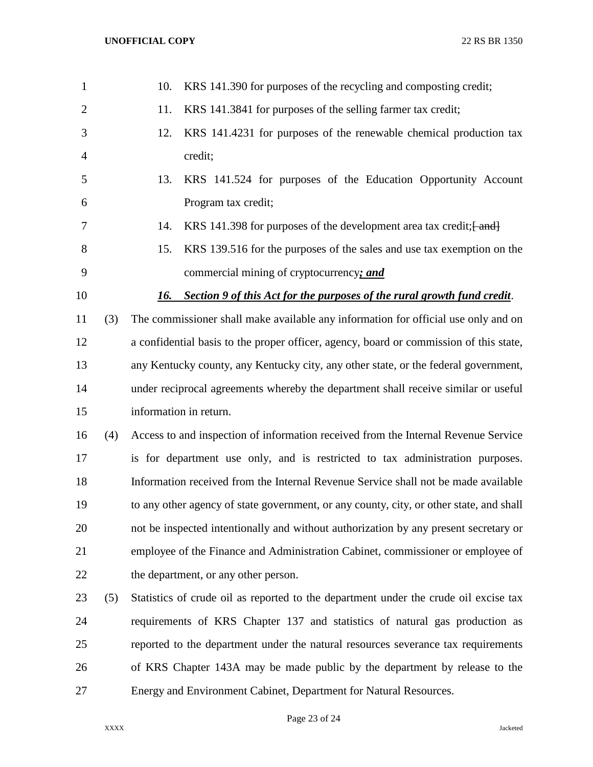|     | 10.                                                                                     | KRS 141.390 for purposes of the recycling and composting credit;                     |  |  |
|-----|-----------------------------------------------------------------------------------------|--------------------------------------------------------------------------------------|--|--|
|     | 11.                                                                                     | KRS 141.3841 for purposes of the selling farmer tax credit;                          |  |  |
|     | 12.                                                                                     | KRS 141.4231 for purposes of the renewable chemical production tax                   |  |  |
|     |                                                                                         | credit;                                                                              |  |  |
|     | 13.                                                                                     | KRS 141.524 for purposes of the Education Opportunity Account                        |  |  |
|     |                                                                                         | Program tax credit;                                                                  |  |  |
|     | 14.                                                                                     | KRS 141.398 for purposes of the development area tax credit; [ and ]                 |  |  |
|     | 15.                                                                                     | KRS 139.516 for the purposes of the sales and use tax exemption on the               |  |  |
|     |                                                                                         | commercial mining of cryptocurrency; and                                             |  |  |
|     |                                                                                         | Section 9 of this Act for the purposes of the rural growth fund credit.              |  |  |
| (3) |                                                                                         | The commissioner shall make available any information for official use only and on   |  |  |
|     | a confidential basis to the proper officer, agency, board or commission of this state,  |                                                                                      |  |  |
|     | any Kentucky county, any Kentucky city, any other state, or the federal government,     |                                                                                      |  |  |
|     |                                                                                         | under reciprocal agreements whereby the department shall receive similar or useful   |  |  |
|     |                                                                                         | information in return.                                                               |  |  |
| (4) |                                                                                         | Access to and inspection of information received from the Internal Revenue Service   |  |  |
|     |                                                                                         | is for department use only, and is restricted to tax administration purposes.        |  |  |
|     |                                                                                         | Information received from the Internal Revenue Service shall not be made available   |  |  |
|     | to any other agency of state government, or any county, city, or other state, and shall |                                                                                      |  |  |
|     |                                                                                         | not be inspected intentionally and without authorization by any present secretary or |  |  |
|     | employee of the Finance and Administration Cabinet, commissioner or employee of         |                                                                                      |  |  |
|     |                                                                                         | the department, or any other person.                                                 |  |  |
| (5) |                                                                                         | Statistics of crude oil as reported to the department under the crude oil excise tax |  |  |
|     |                                                                                         | requirements of KRS Chapter 137 and statistics of natural gas production as          |  |  |
|     |                                                                                         | reported to the department under the natural resources severance tax requirements    |  |  |
|     |                                                                                         | of KRS Chapter 143A may be made public by the department by release to the           |  |  |
|     | Energy and Environment Cabinet, Department for Natural Resources.                       |                                                                                      |  |  |
|     |                                                                                         | 16.                                                                                  |  |  |

Page 23 of 24